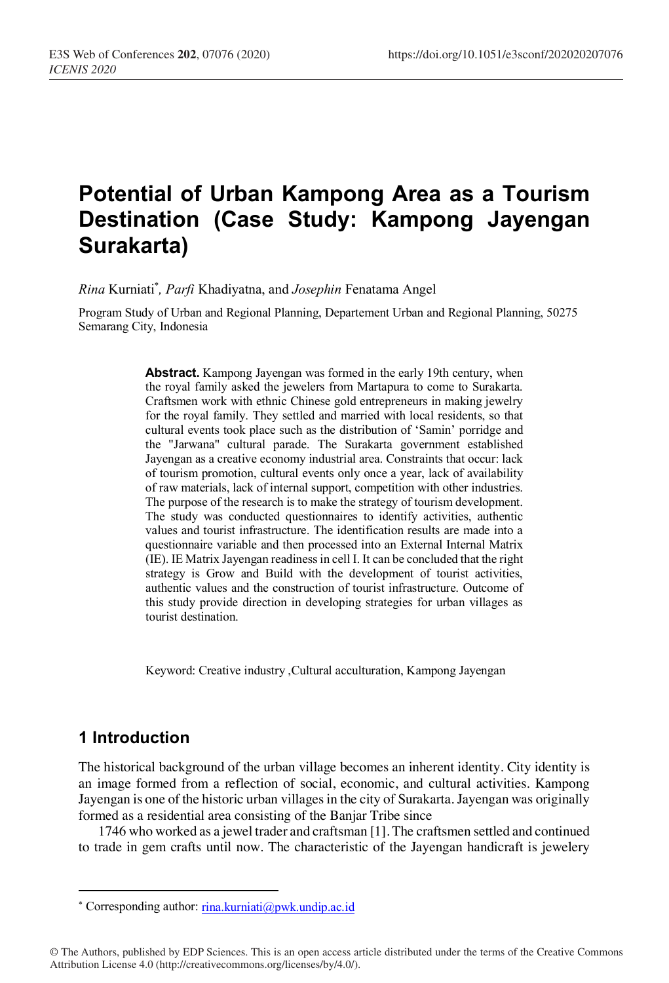# **Potential of Urban Kampong Area as a Tourism Destination (Case Study: Kampong Jayengan Surakarta)**

*Rina* Kurniati\* *, Parfi* Khadiyatna, and *Josephin* Fenatama Angel

Program Study of Urban and Regional Planning, Departement Urban and Regional Planning, 50275 Semarang City, Indonesia

> **Abstract.** Kampong Jayengan was formed in the early 19th century, when the royal family asked the jewelers from Martapura to come to Surakarta. Craftsmen work with ethnic Chinese gold entrepreneurs in making jewelry for the royal family. They settled and married with local residents, so that cultural events took place such as the distribution of 'Samin' porridge and the "Jarwana" cultural parade. The Surakarta government established Jayengan as a creative economy industrial area. Constraints that occur: lack of tourism promotion, cultural events only once a year, lack of availability of raw materials, lack of internal support, competition with other industries. The purpose of the research is to make the strategy of tourism development. The study was conducted questionnaires to identify activities, authentic values and tourist infrastructure. The identification results are made into a questionnaire variable and then processed into an External Internal Matrix (IE). IE Matrix Jayengan readiness in cell I. It can be concluded that the right strategy is Grow and Build with the development of tourist activities, authentic values and the construction of tourist infrastructure. Outcome of this study provide direction in developing strategies for urban villages as tourist destination.

Keyword: Creative industry ,Cultural acculturation, Kampong Jayengan

### **1 Introduction**

The historical background of the urban village becomes an inherent identity. City identity is an image formed from a reflection of social, economic, and cultural activities. Kampong Jayengan is one of the historic urban villages in the city of Surakarta. Jayengan was originally formed as a residential area consisting of the Banjar Tribe since

1746 who worked as a jewel trader and craftsman [1]. The craftsmen settled and continued to trade in gem crafts until now. The characteristic of the Jayengan handicraft is jewelery

<sup>\*</sup> Corresponding author: rina.kurniati@pwk.undip.ac.id

<sup>©</sup> The Authors, published by EDP Sciences. This is an open access article distributed under the terms of the Creative Commons Attribution License 4.0 (http://creativecommons.org/licenses/by/4.0/).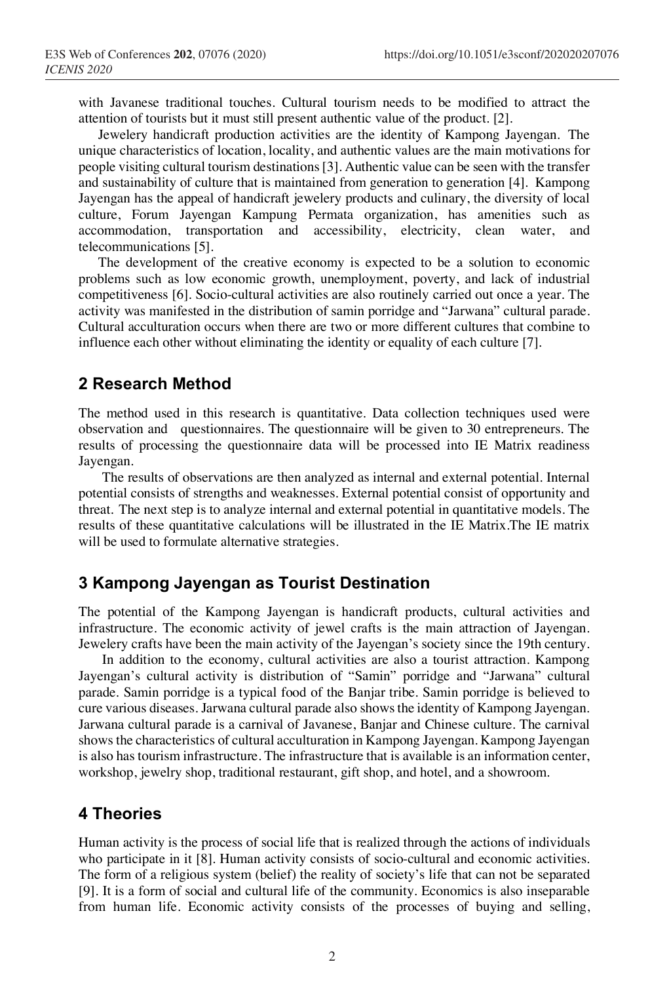with Javanese traditional touches. Cultural tourism needs to be modified to attract the attention of tourists but it must still present authentic value of the product. [2].

Jewelery handicraft production activities are the identity of Kampong Jayengan. The unique characteristics of location, locality, and authentic values are the main motivations for people visiting cultural tourism destinations[3]. Authentic value can be seen with the transfer and sustainability of culture that is maintained from generation to generation [4]. Kampong Jayengan has the appeal of handicraft jewelery products and culinary, the diversity of local culture, Forum Jayengan Kampung Permata organization, has amenities such as accommodation, transportation and accessibility, electricity, clean water, and telecommunications [5].

The development of the creative economy is expected to be a solution to economic problems such as low economic growth, unemployment, poverty, and lack of industrial competitiveness [6]. Socio-cultural activities are also routinely carried out once a year. The activity was manifested in the distribution of samin porridge and "Jarwana" cultural parade. Cultural acculturation occurs when there are two or more different cultures that combine to influence each other without eliminating the identity or equality of each culture [7].

### **2 Research Method**

The method used in this research is quantitative. Data collection techniques used were observation and questionnaires. The questionnaire will be given to 30 entrepreneurs. The results of processing the questionnaire data will be processed into IE Matrix readiness Jayengan.

The results of observations are then analyzed as internal and external potential. Internal potential consists of strengths and weaknesses. External potential consist of opportunity and threat. The next step is to analyze internal and external potential in quantitative models. The results of these quantitative calculations will be illustrated in the IE Matrix.The IE matrix will be used to formulate alternative strategies.

### **3 Kampong Jayengan as Tourist Destination**

The potential of the Kampong Jayengan is handicraft products, cultural activities and infrastructure. The economic activity of jewel crafts is the main attraction of Jayengan. Jewelery crafts have been the main activity of the Jayengan's society since the 19th century.

In addition to the economy, cultural activities are also a tourist attraction. Kampong Jayengan's cultural activity is distribution of "Samin" porridge and "Jarwana" cultural parade. Samin porridge is a typical food of the Banjar tribe. Samin porridge is believed to cure various diseases. Jarwana cultural parade also shows the identity of Kampong Jayengan. Jarwana cultural parade is a carnival of Javanese, Banjar and Chinese culture. The carnival shows the characteristics of cultural acculturation in Kampong Jayengan. Kampong Jayengan is also has tourism infrastructure. The infrastructure that is available is an information center, workshop, jewelry shop, traditional restaurant, gift shop, and hotel, and a showroom.

### **4 Theories**

Human activity is the process of social life that is realized through the actions of individuals who participate in it [8]. Human activity consists of socio-cultural and economic activities. The form of a religious system (belief) the reality of society's life that can not be separated [9]. It is a form of social and cultural life of the community. Economics is also inseparable from human life. Economic activity consists of the processes of buying and selling,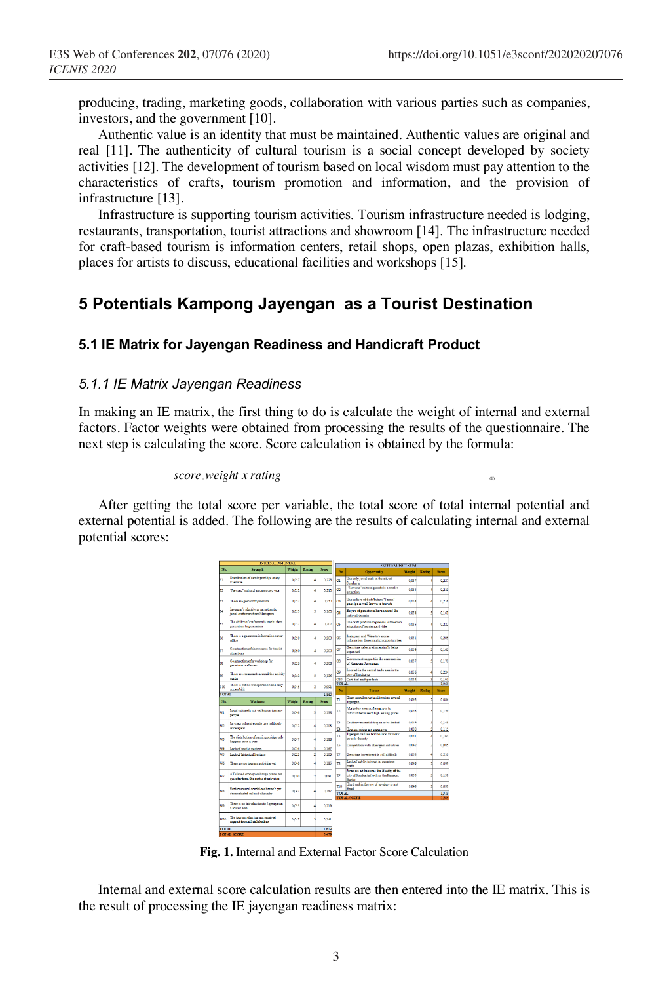producing, trading, marketing goods, collaboration with various parties such as companies, investors, and the government [10].

Authentic value is an identity that must be maintained. Authentic values are original and real [11]. The authenticity of cultural tourism is a social concept developed by society activities [12]. The development of tourism based on local wisdom must pay attention to the characteristics of crafts, tourism promotion and information, and the provision of infrastructure [13].

Infrastructure is supporting tourism activities. Tourism infrastructure needed is lodging, restaurants, transportation, tourist attractions and showroom [14]. The infrastructure needed for craft-based tourism is information centers, retail shops, open plazas, exhibition halls, places for artists to discuss, educational facilities and workshops [15].

### **5 Potentials Kampong Jayengan as a Tourist Destination**

#### **5.1 IE Matrix for Jayengan Readiness and Handicraft Product**

#### *5.1.1 IE Matrix Jayengan Readiness*

In making an IE matrix, the first thing to do is calculate the weight of internal and external factors. Factor weights were obtained from processing the results of the questionnaire. The next step is calculating the score. Score calculation is obtained by the formula:

#### *score* <sup>=</sup>*weight x rating* (1)

After getting the total score per variable, the total score of total internal potential and external potential is added. The following are the results of calculating internal and external potential scores:

|                |                                                                                |        |        |                | <b>EXTERNAL POTENTEAL</b> |                                                                                                     |                |               |                |
|----------------|--------------------------------------------------------------------------------|--------|--------|----------------|---------------------------|-----------------------------------------------------------------------------------------------------|----------------|---------------|----------------|
| No.            | Strength                                                                       | Weight | Rating | Score          | N.                        | <b>Opportunity</b>                                                                                  | Weight         | Ration        | Score          |
| 11             | Distribution of samin portifies sewy<br>Ramadan                                | 0.057  |        | 0.228          | m                         | The only issue leaft in the city of<br>Soralmen                                                     | 0.057          |               | 0.227          |
| 82             | Tarrana" cultural carade erner year                                            | 0.052  |        | 0.230          | Ō2                        | "Jarouna" cultural earnie is a tourist<br>attraction                                                | 0.055          |               | 0.219          |
| \$3            | There are gem craft products                                                   | 0.057  |        | 0,230          | ۵ŝ                        | The culture of distribution "Samin"<br>comidate is suff from a society                              | 0.054          |               | 0.216          |
| 84             | Isyenzacia identity as an authentic<br>ieuel craftenan from Martenun.          | 0.053  |        | 0.160          | οï                        | Boves of genutoses have entered the<br>national domain                                              | 0.054          | ۹             | 0.161          |
| 85             | The ability of earlymen is trucht from<br>reperation to repeation.             | 0.052  |        | 0.20           | CX.                       | The craft production process is the main<br>attraction of tourism activities                        | 0.055          |               | 0.222          |
| <b>tx</b>      | There is a permtone information center<br>office                               | 0.050  |        | 0,200          | Ġ6                        | Instagram and Wibabeb accme-<br>information dissemination opportunities                             | 0.051          |               | 0.205          |
| x7             | Comtraction of showrooms for tourist<br>attractions                            | 0.050  |        | 0.200          | O7                        | Germitone sales are increasingly being<br>expanded                                                  | 0.054          |               | 0.163          |
| 58             | Comtraction of a worlshop for<br>remitore oraftunen                            | 0,052  |        | 0,208          | C6                        | Government vaccort in the construction<br>of Kampong Jawagnan                                       | 0.057          |               | 0.170          |
| 19             | There are redaugarts around the activity<br>cortar                             | 0.042  |        | 0.126          | œ<br>010                  | Enrolled in the nextral trade area in the<br>city of Sundanta<br>Certified craft products           | 0.056<br>0.054 |               | 0.224<br>0.161 |
|                | There is public transportation and easy                                        |        |        |                | TOT AL                    |                                                                                                     |                |               | 1965           |
| \$10<br>TOT AL | <b>considers</b>                                                               | 0.045  |        | 0.050<br>13.60 | No                        | Threat                                                                                              | Weight         | <b>Rating</b> | Store          |
|                |                                                                                |        |        |                | n                         | There are other cultural tourism around                                                             | 0.043          |               | 0.086          |
| No             | Wenhmen                                                                        | Weight | Rating | Score          |                           | Javengan                                                                                            |                |               |                |
| w              | Local calture is not yet known to many<br>panala                               | 0.046  |        | 0,138          | π                         | Marketing gem oraft products is<br>difficult because of high selling prices                         | 0.053          |               | 0.159          |
| w              | Jarvana cultural parade are held only<br>once a vear                           | 0.052  |        | 0.208          | p<br>ы                    | Craft raw materials began to be limited<br>Tourism prices are expensive                             | 0.049<br>0.039 | R             | 0,148<br>0,115 |
|                |                                                                                |        |        |                |                           | Invention natives tend to look for work.                                                            |                |               |                |
| w              | The distribution of samin corridos only<br>happens once a year.                | 0.047  |        | 0.188          | ъ                         | mitida tha rite                                                                                     | 0.041          |               | 0.163          |
| w              | Lack of tourist marken                                                         | 0.056  | ۷      | 0.16           | TS.                       | Competition with other sem industries                                                               | 0.042          |               | 0.085          |
| 58             | Lack of historical haritage                                                    | 0.053  |        | 0.106          | T)                        | Gamstera invastment is still difficult                                                              | 0053           |               | 0.210          |
|                |                                                                                |        |        |                |                           |                                                                                                     |                |               |                |
| wĸ             | These are no tourism activities yet                                            | 0.046  |        | $0.18^{i}$     | 78                        | Lack of cublic interest in remators<br>crafts                                                       | 0,049          |               | 0,099          |
| w              | ATMs and money exchange of soss are<br>opite far from the center of activities | 0.040  | d      | 0.081          | 19                        | Javanese art becomes the identity of the<br>city of Supdarts (such as the Kenton.)<br><b>Baskin</b> | 0.053          |               | 0.158          |
| w              | Environmental conditions haven't set<br>demonstrated cultural character        | 0.047  |        | 0.18           | TIO<br>TOT AL             | The trend in the use of iew dery is not<br>fixed                                                    | 0.049          |               | 0.099<br>1319  |
| $\sigma$       | There is no introduction to Jayengan as<br>a travist sea                       | 0.055  |        | 0,219          |                           | <b>TOTAL SCORE</b>                                                                                  |                |               |                |
| wio            | The tourism clan has not received<br>speect from all stateholders              | 0.047  |        | 0.14           |                           |                                                                                                     |                |               |                |
| TOTAL.         |                                                                                |        |        | 1,619          |                           |                                                                                                     |                |               |                |

**Fig. 1.** Internal and External Factor Score Calculation

Internal and external score calculation results are then entered into the IE matrix. This is the result of processing the IE jayengan readiness matrix: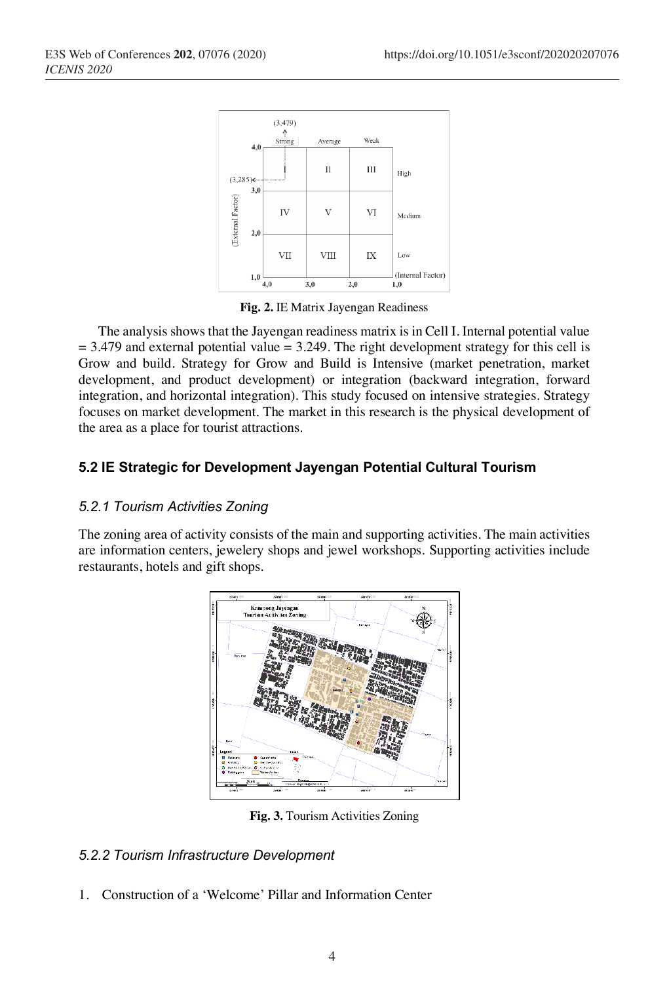

**Fig. 2.** IE Matrix Jayengan Readiness

The analysis shows that the Jayengan readiness matrix is in Cell I. Internal potential value  $= 3.479$  and external potential value  $= 3.249$ . The right development strategy for this cell is Grow and build. Strategy for Grow and Build is Intensive (market penetration, market development, and product development) or integration (backward integration, forward integration, and horizontal integration). This study focused on intensive strategies. Strategy focuses on market development. The market in this research is the physical development of the area as a place for tourist attractions.

### **5.2 IE Strategic for Development Jayengan Potential Cultural Tourism**

#### *5.2.1 Tourism Activities Zoning*

The zoning area of activity consists of the main and supporting activities. The main activities are information centers, jewelery shops and jewel workshops. Supporting activities include restaurants, hotels and gift shops.



**Fig. 3.** Tourism Activities Zoning

#### *5.2.2 Tourism Infrastructure Development*

1. Construction of a 'Welcome' Pillar and Information Center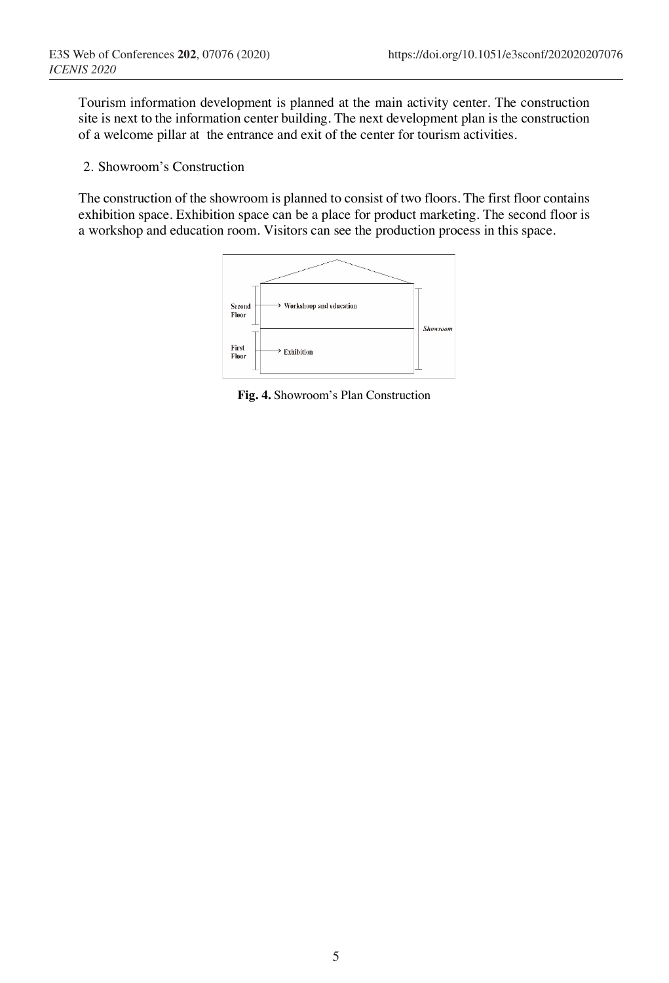Tourism information development is planned at the main activity center. The construction site is next to the information center building. The next development plan is the construction of a welcome pillar at the entrance and exit of the center for tourism activities.

2. Showroom's Construction

The construction of the showroom is planned to consist of two floors. The first floor contains exhibition space. Exhibition space can be a place for product marketing. The second floor is a workshop and education room. Visitors can see the production process in this space.



**Fig. 4.** Showroom's Plan Construction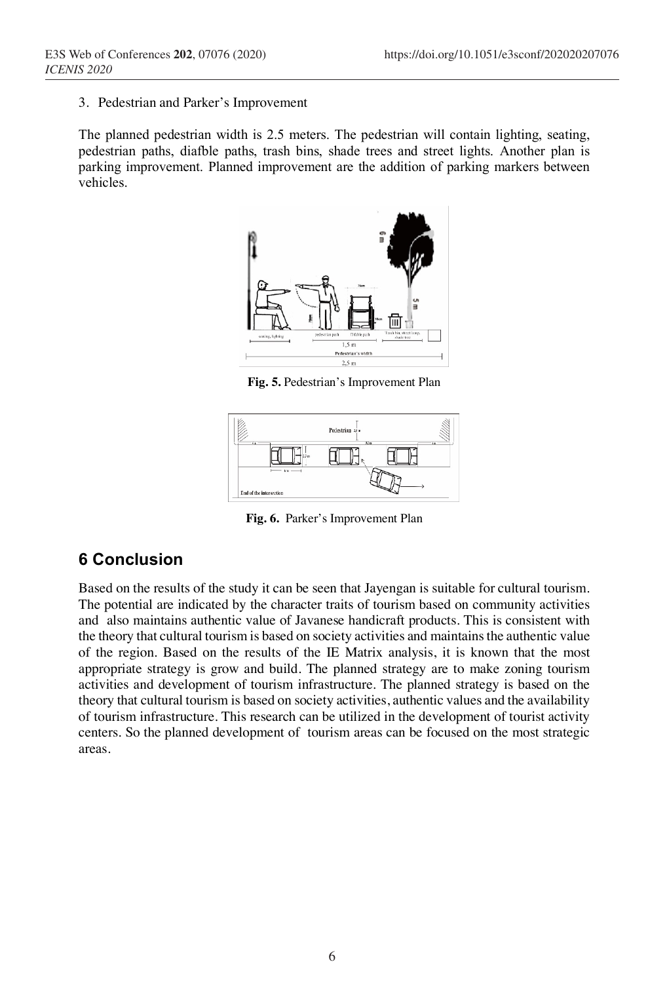3. Pedestrian and Parker's Improvement

The planned pedestrian width is 2.5 meters. The pedestrian will contain lighting, seating, pedestrian paths, diafble paths, trash bins, shade trees and street lights. Another plan is parking improvement. Planned improvement are the addition of parking markers between vehicles.



**Fig. 5.** Pedestrian's Improvement Plan



**Fig. 6.** Parker's Improvement Plan

## **6 Conclusion**

Based on the results of the study it can be seen that Jayengan is suitable for cultural tourism. The potential are indicated by the character traits of tourism based on community activities and also maintains authentic value of Javanese handicraft products. This is consistent with the theory that cultural tourism is based on society activities and maintains the authentic value of the region. Based on the results of the IE Matrix analysis, it is known that the most appropriate strategy is grow and build. The planned strategy are to make zoning tourism activities and development of tourism infrastructure. The planned strategy is based on the theory that cultural tourism is based on society activities, authentic values and the availability of tourism infrastructure. This research can be utilized in the development of tourist activity centers. So the planned development of tourism areas can be focused on the most strategic areas.